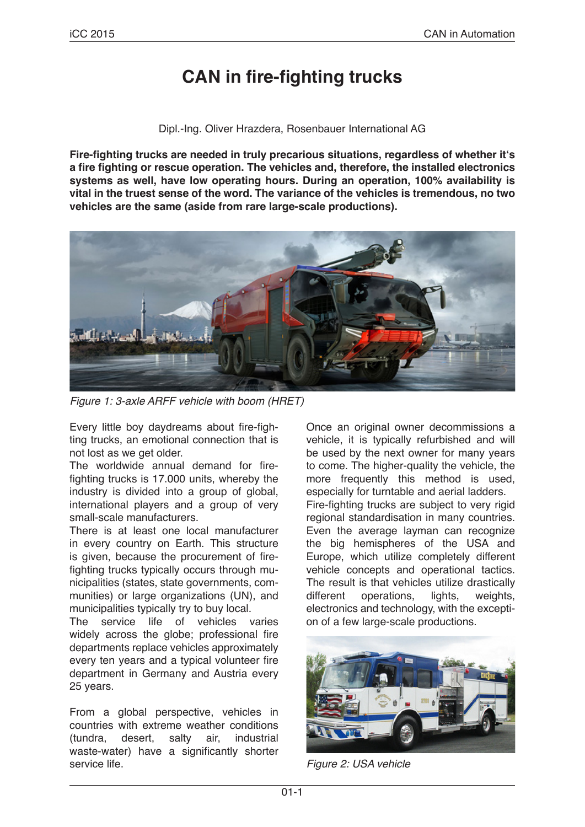# **CAN in fire-fighting trucks**

#### Dipl.-Ing. Oliver Hrazdera, Rosenbauer International AG

**Fire-fighting trucks are needed in truly precarious situations, regardless of whether it's a fire fighting or rescue operation. The vehicles and, therefore, the installed electronics systems as well, have low operating hours. During an operation, 100% availability is vital in the truest sense of the word. The variance of the vehicles is tremendous, no two vehicles are the same (aside from rare large-scale productions).**



*Figure 1: 3-axle ARFF vehicle with boom (HRET)*

Every little boy daydreams about fire-fighting trucks, an emotional connection that is not lost as we get older.

The worldwide annual demand for firefighting trucks is 17.000 units, whereby the industry is divided into a group of global, international players and a group of very small-scale manufacturers.

There is at least one local manufacturer in every country on Earth. This structure is given, because the procurement of firefighting trucks typically occurs through municipalities (states, state governments, communities) or large organizations (UN), and municipalities typically try to buy local.

The service life of vehicles varies widely across the globe; professional fire departments replace vehicles approximately every ten years and a typical volunteer fire department in Germany and Austria every 25 years.

From a global perspective, vehicles in countries with extreme weather conditions (tundra, desert, salty air, industrial waste-water) have a significantly shorter service life.

Once an original owner decommissions a vehicle, it is typically refurbished and will be used by the next owner for many years to come. The higher-quality the vehicle, the more frequently this method is used, especially for turntable and aerial ladders. Fire-fighting trucks are subject to very rigid regional standardisation in many countries. Even the average layman can recognize the big hemispheres of the USA and Europe, which utilize completely different vehicle concepts and operational tactics. The result is that vehicles utilize drastically different operations, lights, weights, electronics and technology, with the exception of a few large-scale productions.



*Figure 2: USA vehicle*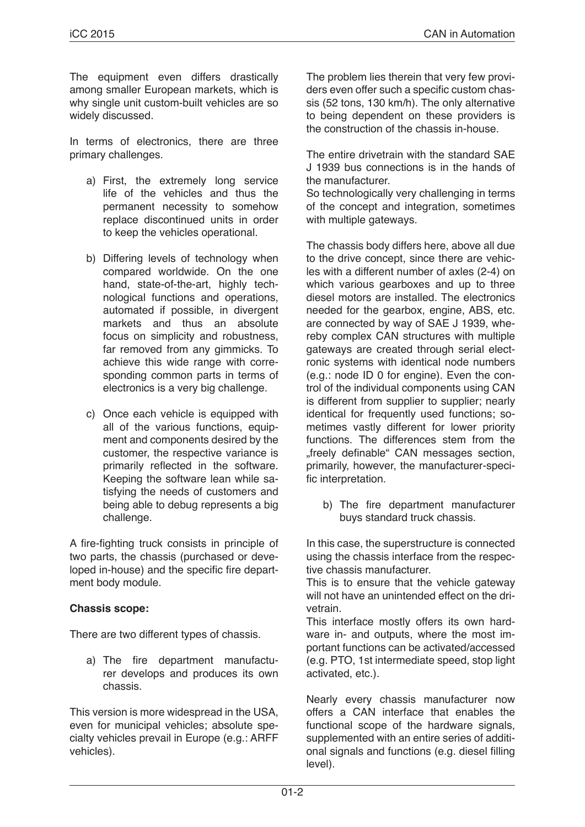The equipment even differs drastically among smaller European markets, which is why single unit custom-built vehicles are so widely discussed.

In terms of electronics, there are three primary challenges.

- a) First, the extremely long service life of the vehicles and thus the permanent necessity to somehow replace discontinued units in order to keep the vehicles operational.
- b) Differing levels of technology when compared worldwide. On the one hand, state-of-the-art, highly technological functions and operations, automated if possible, in divergent markets and thus an absolute focus on simplicity and robustness, far removed from any gimmicks. To achieve this wide range with corresponding common parts in terms of electronics is a very big challenge.
- c) Once each vehicle is equipped with all of the various functions, equipment and components desired by the customer, the respective variance is primarily reflected in the software. Keeping the software lean while satisfying the needs of customers and being able to debug represents a big challenge.

A fire-fighting truck consists in principle of two parts, the chassis (purchased or developed in-house) and the specific fire department body module.

## **Chassis scope:**

There are two different types of chassis.

a) The fire department manufacturer develops and produces its own chassis.

This version is more widespread in the USA, even for municipal vehicles; absolute specialty vehicles prevail in Europe (e.g.: ARFF vehicles).

The problem lies therein that very few providers even offer such a specific custom chassis (52 tons, 130 km/h). The only alternative to being dependent on these providers is the construction of the chassis in-house.

The entire drivetrain with the standard SAE J 1939 bus connections is in the hands of the manufacturer.

So technologically very challenging in terms of the concept and integration, sometimes with multiple gateways.

The chassis body differs here, above all due to the drive concept, since there are vehicles with a different number of axles (2-4) on which various gearboxes and up to three diesel motors are installed. The electronics needed for the gearbox, engine, ABS, etc. are connected by way of SAE J 1939, whereby complex CAN structures with multiple gateways are created through serial electronic systems with identical node numbers (e.g.: node ID 0 for engine). Even the control of the individual components using CAN is different from supplier to supplier; nearly identical for frequently used functions; sometimes vastly different for lower priority functions. The differences stem from the "freely definable" CAN messages section, primarily, however, the manufacturer-specific interpretation.

b) The fire department manufacturer buys standard truck chassis.

In this case, the superstructure is connected using the chassis interface from the respective chassis manufacturer.

This is to ensure that the vehicle gateway will not have an unintended effect on the drivetrain.

This interface mostly offers its own hardware in- and outputs, where the most important functions can be activated/accessed (e.g. PTO, 1st intermediate speed, stop light activated, etc.).

Nearly every chassis manufacturer now offers a CAN interface that enables the functional scope of the hardware signals, supplemented with an entire series of additional signals and functions (e.g. diesel filling level).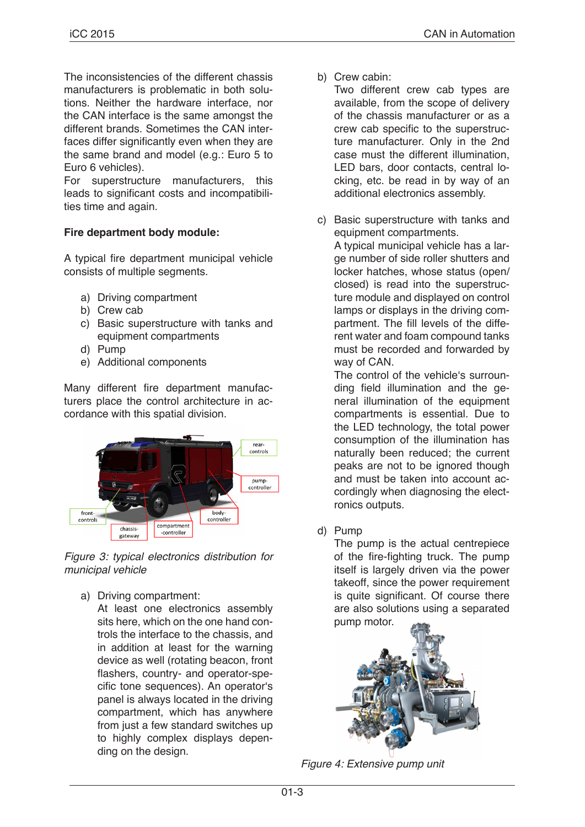The inconsistencies of the different chassis manufacturers is problematic in both solutions. Neither the hardware interface, nor the CAN interface is the same amongst the different brands. Sometimes the CAN interfaces differ significantly even when they are the same brand and model (e.g.: Euro 5 to Euro 6 vehicles).

For superstructure manufacturers, this leads to significant costs and incompatibilities time and again.

# **Fire department body module:**

A typical fire department municipal vehicle consists of multiple segments.

- a) Driving compartment
- b) Crew cab
- c) Basic superstructure with tanks and equipment compartments
- d) Pump
- e) Additional components

Many different fire department manufacturers place the control architecture in accordance with this spatial division.



*Figure 3: typical electronics distribution for municipal vehicle*

- a) Driving compartment:
	- At least one electronics assembly sits here, which on the one hand controls the interface to the chassis, and in addition at least for the warning device as well (rotating beacon, front flashers, country- and operator-specific tone sequences). An operator's panel is always located in the driving compartment, which has anywhere from just a few standard switches up to highly complex displays depending on the design.

b) Crew cabin:

 Two different crew cab types are available, from the scope of delivery of the chassis manufacturer or as a crew cab specific to the superstructure manufacturer. Only in the 2nd case must the different illumination, LED bars, door contacts, central locking, etc. be read in by way of an additional electronics assembly.

c) Basic superstructure with tanks and equipment compartments. A typical municipal vehicle has a large number of side roller shutters and

locker hatches, whose status (open/ closed) is read into the superstructure module and displayed on control lamps or displays in the driving compartment. The fill levels of the different water and foam compound tanks must be recorded and forwarded by way of CAN.

The control of the vehicle's surrounding field illumination and the general illumination of the equipment compartments is essential. Due to the LED technology, the total power consumption of the illumination has naturally been reduced; the current peaks are not to be ignored though and must be taken into account accordingly when diagnosing the electronics outputs.

d) Pump

 The pump is the actual centrepiece of the fire-fighting truck. The pump itself is largely driven via the power takeoff, since the power requirement is quite significant. Of course there are also solutions using a separated pump motor.



*Figure 4: Extensive pump unit*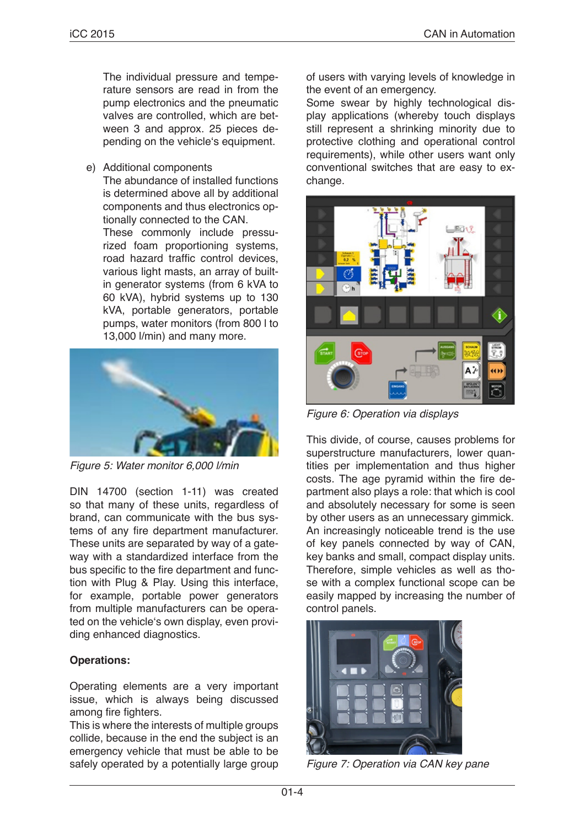The individual pressure and temperature sensors are read in from the pump electronics and the pneumatic valves are controlled, which are between 3 and approx. 25 pieces depending on the vehicle's equipment.

e) Additional components

 The abundance of installed functions is determined above all by additional components and thus electronics optionally connected to the CAN.

 These commonly include pressurized foam proportioning systems, road hazard traffic control devices, various light masts, an array of builtin generator systems (from 6 kVA to 60 kVA), hybrid systems up to 130 kVA, portable generators, portable pumps, water monitors (from 800 l to 13,000 l/min) and many more.



*Figure 5: Water monitor 6,000 l/min*

DIN 14700 (section 1-11) was created so that many of these units, regardless of brand, can communicate with the bus systems of any fire department manufacturer. These units are separated by way of a gateway with a standardized interface from the bus specific to the fire department and function with Plug & Play. Using this interface, for example, portable power generators from multiple manufacturers can be operated on the vehicle's own display, even providing enhanced diagnostics.

# **Operations:**

Operating elements are a very important issue, which is always being discussed among fire fighters.

This is where the interests of multiple groups collide, because in the end the subject is an emergency vehicle that must be able to be safely operated by a potentially large group of users with varying levels of knowledge in the event of an emergency.

Some swear by highly technological display applications (whereby touch displays still represent a shrinking minority due to protective clothing and operational control requirements), while other users want only conventional switches that are easy to exchange.



*Figure 6: Operation via displays*

This divide, of course, causes problems for superstructure manufacturers, lower quantities per implementation and thus higher costs. The age pyramid within the fire department also plays a role: that which is cool and absolutely necessary for some is seen by other users as an unnecessary gimmick. An increasingly noticeable trend is the use of key panels connected by way of CAN, key banks and small, compact display units. Therefore, simple vehicles as well as those with a complex functional scope can be easily mapped by increasing the number of control panels.



*Figure 7: Operation via CAN key pane*